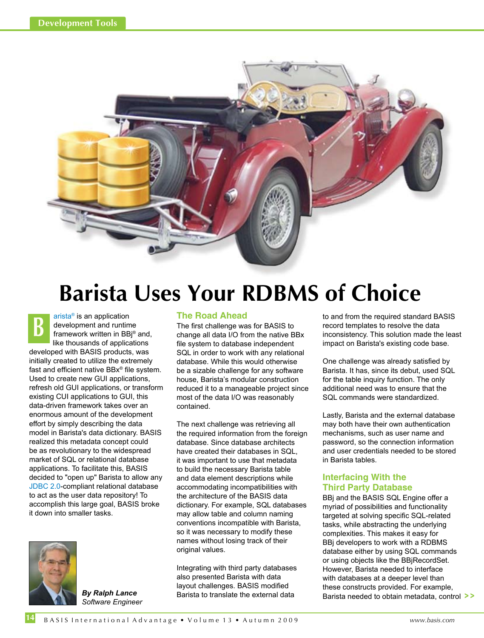

# **Barista Uses Your RDBMS of Choice**

[arista® i](http://www.basis.com/products/devtools/barista/index.html)s an application development and runtime framework written in BBj® and, like thousands of applications developed with BASIS products, was initially created to utilize the extremely fast and efficient native BBx® file system. Used to create new GUI applications, refresh old GUI applications, or transform existing CUI applications to GUI, this data-driven framework takes over an enormous amount of the development effort by simply describing the data model in Barista's data dictionary. BASIS realized this metadata concept could be as revolutionary to the widespread market of SQL or relational database applications. To facilitate this, BASIS decided to "open up" Barista to allow any [JDBC 2.0-c](http://java.sun.com/developer/onlineTraining/Database/JDBC20Intro/JDBC20.html)ompliant relational database to act as the user data repository! To accomplish this large goal, BASIS broke it down into smaller tasks. **B**



*By Ralph Lance Software Engineer*

### **The Road Ahead**

The first challenge was for BASIS to change all data I/O from the native BBx file system to database independent SQL in order to work with any relational database. While this would otherwise be a sizable challenge for any software house, Barista's modular construction reduced it to a manageable project since most of the data I/O was reasonably contained.

The next challenge was retrieving all the required information from the foreign database. Since database architects have created their databases in SQL, it was important to use that metadata to build the necessary Barista table and data element descriptions while accommodating incompatibilities with the architecture of the BASIS data dictionary. For example, SQL databases may allow table and column naming conventions incompatible with Barista, so it was necessary to modify these names without losing track of their original values.

Integrating with third party databases also presented Barista with data layout challenges. BASIS modified Barista to translate the external data

to and from the required standard BASIS record templates to resolve the data inconsistency. This solution made the least impact on Barista's existing code base.

One challenge was already satisfied by Barista. It has, since its debut, used SQL for the table inquiry function. The only additional need was to ensure that the SQL commands were standardized.

Lastly, Barista and the external database may both have their own authentication mechanisms, such as user name and password, so the connection information and user credentials needed to be stored in Barista tables.

## **Interfacing With the Third Party Database**

BBj and the BASIS SQL Engine offer a myriad of possibilities and functionality targeted at solving specific SQL-related tasks, while abstracting the underlying complexities. This makes it easy for BBj developers to work with a RDBMS database either by using SQL commands or using objects like the BBjRecordSet. However, Barista needed to interface with databases at a deeper level than these constructs provided. For example, Barista needed to obtain metadata, control **> >**